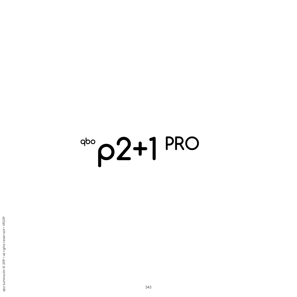# **p2+1 PRO**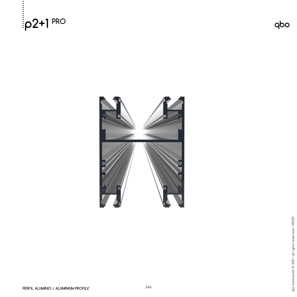



qbo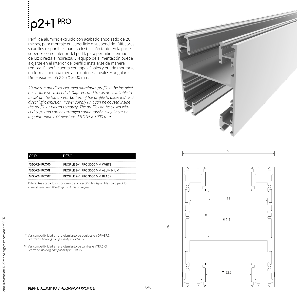## **p2+1 PRO**

Perfil de aluminio extruido con acabado anodizado de 20 micras, para montaje en superficie o suspendido. Difusores y carriles disponibles para su instalación tanto en la parte superior como inferior del perfil, para permitir la emisión de luz directa e indirecta. El equipo de alimentación puede alojarse en el interior del perfil o instalarse de manera remota. El perfil cuenta con tapas finales y puede montarse en forma continua mediante uniones lineales y angulares. Dimensiones: 65 X 85 X 3000 mm.

*20 micron anodized extruded aluminum profile to be installed on surface or suspended. Diffusers and tracks are available to be set on the top and/or bottom of the profile to allow indirect/ direct light emission. Power supply unit can be housed inside the profile or placed remotely. The profile can be closed with end caps and can be arranged continuously using linear or angular unions. Dimensions: 65 X 85 X 3000 mm.*

| חר           | DESC.                             |
|--------------|-----------------------------------|
| QBOP2+IPRO00 | PROFILE 2+1 PRO 3000 MM WHITE     |
| OBOP2+IPRO01 | PROFILE 2+1 PRO 3000 MM ALUMINIUM |
| QBOP2+IPRO09 | PROFILE 2+1 PRO 3000 MM BLACK     |

Diferentes acabados y opciones de protección IP disponibles bajo pedido *Other finishes and IP ratings available on request*

- Ver compatibilidad en el alojamiento de equipos en DRIVERS. *See drivers housing compatibility in DRIVERS.* **\***
- Ver compatibilidad en el alojamiento de carriles en TRACKS. **\*\***  *See tracks housing compatibility in TRACKS.*



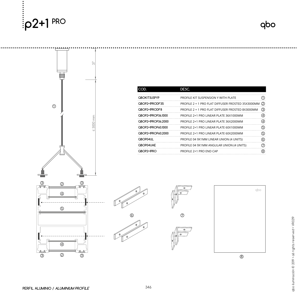

qbo



|  | ICOD.               | DESC.                                                 |     |
|--|---------------------|-------------------------------------------------------|-----|
|  | <b>QBOKITSUSPYP</b> | PROFILE KIT SUSPENSION Y WITH PLATE                   |     |
|  | QBOP2+IPRODF35      | PROFILE 2 + 1 PRO FLAT DIFFUSER FROSTED 35X3000MM (2) |     |
|  | QBOP2+IPRODF8       | PROFILE 2 + 1 PRO FLAT DIFFUSER FROSTED 8X3000MM      | (3) |
|  | QBOP2+IPROP36.1000  | PROFILE 2+1 PRO LINEAR PLATE 36X1000MM                | 4.  |
|  | QBOP2+IPROP36.2000  | PROFILE 2+1 PRO LINEAR PLATE 36X2000MM                | (4) |
|  | QBOP2+IPROP60.1000  | PROFILE 2+1 PRO LINEAR PLATE 60X1000MM                | (5) |
|  | QBOP2+IPROP60.2000  | PROFILE 2+1 PRO LINEAR PLATE 60X2000MM                | (5) |
|  | QBOP04UL            | PROFILE 04 9X1MM LINEAR UNION (4 UNITS)               | 6)  |
|  | QBOP04UAE           | PROFILE 04 9X1MM ANGULAR UNION (4 UNITS)              |     |
|  | QBOP2+IPRO          | PROFILE 2+1 PRO END CAP                               | (8) |
|  |                     |                                                       |     |







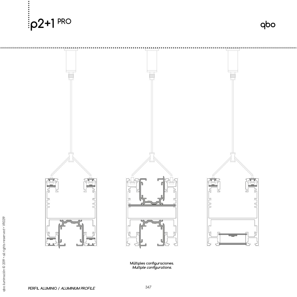



qbo

**Múltiples configuraciones. Multiple configurations.**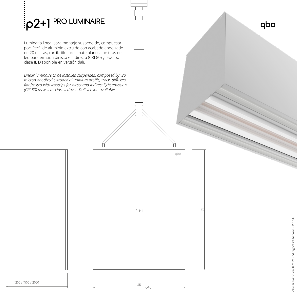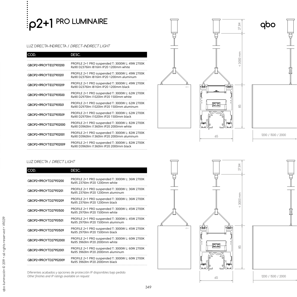## **p2+1 PRO LUMINAIRE**

### LUZ DIRECTA-INDIRECTA / DIRECT-INDIRECT LIGHT

| COD.                   | DESC.                                                                                        |
|------------------------|----------------------------------------------------------------------------------------------|
| QBOP2+1PROYTID27901200 | PROFILE 2+1 PRO suspended T: 3000W L: 49W 2700K<br>Ra90 D2376lm I816lm IP20 1200mm white     |
| QBOP2+1PROYTID27901201 | PROFILE 2+1 PRO suspended T: 3000W L: 49W 2700K<br>Ra90 D2376lm I816lm IP20 1200mm aluminum  |
| QBOP2+1PROYTID27901209 | PROFILE 2+1 PRO suspended T: 3000W L: 49W 2700K<br>Ra90 D2376lm I816lm IP20 1200mm black     |
| QBOP2+1PROYTID27901500 | PROFILE 2+1 PRO suspended T: 3000W L: 62W 2700K<br>Ra90 D2970lm I1020lm IP20 1500mm white    |
| QBOP2+IPROYTID27901501 | PROFILE 2+1 PRO suspended T: 3000W L: 62W 2700K<br>Ra90 D2970lm J1020lm JP20 1500mm aluminum |
| QBOP2+1PROYTID27901509 | PROFILE 2+1 PRO suspended T: 3000W L: 62W 2700K<br>Ra90 D2970lm I1020lm IP20 1500mm black    |
| QBOP2+IPROYTID27902000 | PROFILE 2+1 PRO suspended T: 3000W L: 82W 2700K<br>Ra90 D3960lm I1360lm IP20 2000mm white    |
| QBOP2+IPROYTID27902001 | PROFILE 2+1 PRO suspended T: 3000W L: 82W 2700K<br>Ra90 D3960lm J1360lm JP20 2000mm aluminum |
| QBOP2+IPROYTID27902009 | PROFILE 2+1 PRO suspended T: 3000W L: 82W 2700K<br>Ra90 D3960lm I1360lm IP20 2000mm black    |





#### LUZ DIRECTA / DIRECT LIGHT

| COD.                  | DESC.                                                                               |
|-----------------------|-------------------------------------------------------------------------------------|
| QBOP2+1PROYTD27951200 | PROFILE 2+1 PRO suspended T: 3000W L: 36W 2700K<br>Ra95 2376 m IP20 1200mm white    |
| QBOP2+1PROYTD27951201 | PROFILE 2+1 PRO suspended T: 3000W L: 36W 2700K<br>Ra95 2376 m IP20 1200mm aluminum |
| QBOP2+IPROYTD27951209 | PROFILE 2+1 PRO suspended T: 3000W L: 36W 2700K<br>Ra95 2376 m IP20 1200mm black    |
| QBOP2+IPROYTD27951500 | PROFILE 2+1 PRO suspended T: 3000W L: 45W 2700K<br>Ra95 2970lm IP20 1500mm white    |
| QBOP2+1PROYTD27951501 | PROFILE 2+1 PRO suspended T: 3000W L: 45W 2700K<br>Ra95 2970lm IP20 1500mm aluminum |
| QBOP2+IPROYTD27951509 | PROFILE 2+1 PRO suspended T: 3000W L: 45W 2700K<br>Ra95 2970lm IP20 1500mm black    |
| QBOP2+IPROYTD27952000 | PROFILE 2+1 PRO suspended T: 3000W L: 60W 2700K<br>Ra95 3960lm IP20 2000mm white    |
| QBOP2+IPROYTD27952001 | PROFILE 2+1 PRO suspended T: 3000W L: 60W 2700K<br>Ra95 3960lm IP20 2000mm aluminum |
| QBOP2+IPROYTD27952009 | PROFILE 2+1 PRO suspended T: 3000W L: 60W 2700K<br>Ra95 3960lm IP20 2000mm black    |

È ١è  $\overline{\circ}$   $\overline{\circ}$ 65



27,84

< 3000 mm

 $< 3000$  mm

 $\frac{1}{20}$ 

Diferentes acabados y opciones de protección IP disponibles bajo pedido *Other finishes and IP ratings available on request*